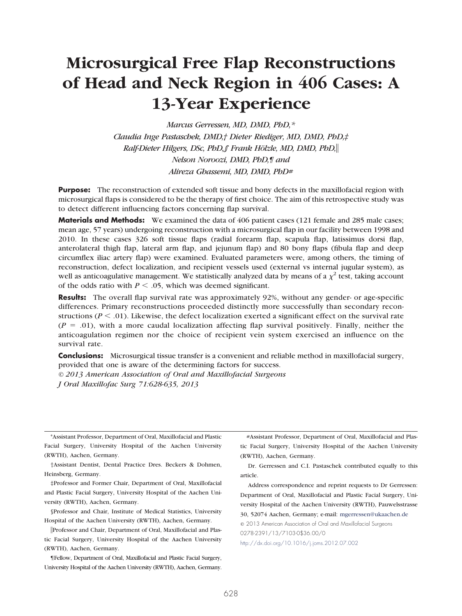# **Microsurgical Free Flap Reconstructions of Head and Neck Region in 406 Cases: A 13-Year Experience**

*Marcus Gerressen, MD, DMD, PhD,\* Claudia Inge Pastaschek, DMD,† Dieter Riediger, MD, DMD, PhD,‡ Ralf-Dieter Hilgers, DSc, PhD,§ Frank Hölzle, MD, DMD, PhD, Nelson Noroozi, DMD, PhD,¶ and Alireza Ghassemi, MD, DMD, PhD#*

**Purpose:** The reconstruction of extended soft tissue and bony defects in the maxillofacial region with microsurgical flaps is considered to be the therapy of first choice. The aim of this retrospective study was to detect different influencing factors concerning flap survival.

**Materials and Methods:** We examined the data of 406 patient cases (121 female and 285 male cases; mean age, 57 years) undergoing reconstruction with a microsurgical flap in our facility between 1998 and 2010. In these cases 326 soft tissue flaps (radial forearm flap, scapula flap, latissimus dorsi flap, anterolateral thigh flap, lateral arm flap, and jejunum flap) and 80 bony flaps (fibula flap and deep circumflex iliac artery flap) were examined. Evaluated parameters were, among others, the timing of reconstruction, defect localization, and recipient vessels used (external vs internal jugular system), as well as anticoagulative management. We statistically analyzed data by means of a  $\chi^2$  test, taking account of the odds ratio with  $P \leq .05$ , which was deemed significant.

**Results:** The overall flap survival rate was approximately 92%, without any gender- or age-specific differences. Primary reconstructions proceeded distinctly more successfully than secondary reconstructions ( $P < .01$ ). Likewise, the defect localization exerted a significant effect on the survival rate  $(P = .01)$ , with a more caudal localization affecting flap survival positively. Finally, neither the anticoagulation regimen nor the choice of recipient vein system exercised an influence on the survival rate.

**Conclusions:** Microsurgical tissue transfer is a convenient and reliable method in maxillofacial surgery, provided that one is aware of the determining factors for success.

*© 2013 American Association of Oral and Maxillofacial Surgeons J Oral Maxillofac Surg 71:628-635, 2013*

\*Assistant Professor, Department of Oral, Maxillofacial and Plastic Facial Surgery, University Hospital of the Aachen University (RWTH), Aachen, Germany.

†Assistant Dentist, Dental Practice Dres. Beckers & Dohmen, Heinsberg, Germany.

‡Professor and Former Chair, Department of Oral, Maxillofacial and Plastic Facial Surgery, University Hospital of the Aachen University (RWTH), Aachen, Germany.

§Professor and Chair, Institute of Medical Statistics, University Hospital of the Aachen University (RWTH), Aachen, Germany.

Professor and Chair, Department of Oral, Maxillofacial and Plastic Facial Surgery, University Hospital of the Aachen University (RWTH), Aachen, Germany.

¶Fellow, Department of Oral, Maxillofacial and Plastic Facial Surgery, University Hospital of the Aachen University (RWTH), Aachen, Germany.

#Assistant Professor, Department of Oral, Maxillofacial and Plastic Facial Surgery, University Hospital of the Aachen University (RWTH), Aachen, Germany.

Dr. Gerressen and C.I. Pastaschek contributed equally to this article.

Address correspondence and reprint requests to Dr Gerressen: Department of Oral, Maxillofacial and Plastic Facial Surgery, University Hospital of the Aachen University (RWTH), Pauwelsstrasse 30, 52074 Aachen, Germany; e-mail: [mgerressen@ukaachen.de](mailto:mgerressen@ukaachen.de)

© 2013 American Association of Oral and Maxillofacial Surgeons 0278-2391/13/7103-0\$36.00/0

<http://dx.doi.org/10.1016/j.joms.2012.07.002>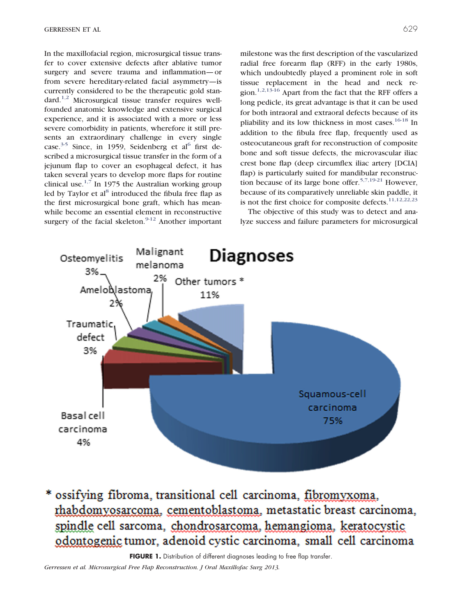In the maxillofacial region, microsurgical tissue transfer to cover extensive defects after ablative tumor surgery and severe trauma and inflammation— or from severe hereditary-related facial asymmetry—is currently considered to be the therapeutic gold standard.[1,2](#page-7-0) Microsurgical tissue transfer requires wellfounded anatomic knowledge and extensive surgical experience, and it is associated with a more or less severe comorbidity in patients, wherefore it still presents an extraordinary challenge in every single case.<sup>3-5</sup> Since, in 1959, Seidenberg et al<sup>[6](#page-7-2)</sup> first described a microsurgical tissue transfer in the form of a jejunum flap to cover an esophageal defect, it has taken several years to develop more flaps for routine clinical use. $1,7$  In 1975 the Australian working group led by Taylor et  $al<sup>8</sup>$  introduced the fibula free flap as the first microsurgical bone graft, which has meanwhile become an essential element in reconstructive surgery of the facial skeleton. $9-12$  Another important milestone was the first description of the vascularized radial free forearm flap (RFF) in the early 1980s, which undoubtedly played a prominent role in soft tissue replacement in the head and neck region.<sup>1,2,13-16</sup> Apart from the fact that the RFF offers a long pedicle, its great advantage is that it can be used for both intraoral and extraoral defects because of its pliability and its low thickness in most cases.<sup>[16-18](#page-7-5)</sup> In addition to the fibula free flap, frequently used as osteocutaneous graft for reconstruction of composite bone and soft tissue defects, the microvascular iliac crest bone flap (deep circumflex iliac artery [DCIA] flap) is particularly suited for mandibular reconstruc-tion because of its large bone offer.<sup>[5,7,19-21](#page-7-6)</sup> However. because of its comparatively unreliable skin paddle, it is not the first choice for composite defects.<sup>[11,12,22,23](#page-7-7)</sup>

The objective of this study was to detect and analyze success and failure parameters for microsurgical



\* ossifying fibroma, transitional cell carcinoma, fibromyxoma. rhabdomyosarcoma, cementoblastoma, metastatic breast carcinoma, spindle cell sarcoma, chondrosarcoma, hemangioma, keratocystic odontogenic tumor, adenoid cystic carcinoma, small cell carcinoma

<span id="page-1-0"></span>FIGURE 1. Distribution of different diagnoses leading to free flap transfer.

*Gerressen et al. Microsurgical Free Flap Reconstruction. J Oral Maxillofac Surg 2013.*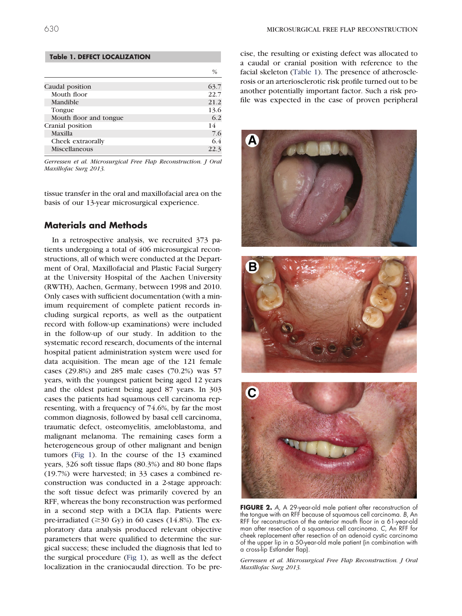#### <span id="page-2-0"></span>**Table 1. DEFECT LOCALIZATION**

|                        | $\frac{0}{6}$ |
|------------------------|---------------|
|                        |               |
| Caudal position        | 63.7          |
| Mouth floor            | 22.7          |
| Mandible               | 21.2          |
| Tongue                 | 13.6          |
| Mouth floor and tongue | 6.2           |
| Cranial position       | 14            |
| Maxilla                | 7.6           |
| Cheek extraorally      | 6.4           |
| Miscellaneous          | 22.3          |

*Gerressen et al. Microsurgical Free Flap Reconstruction. J Oral Maxillofac Surg 2013.*

tissue transfer in the oral and maxillofacial area on the basis of our 13-year microsurgical experience.

### **Materials and Methods**

In a retrospective analysis, we recruited 373 patients undergoing a total of 406 microsurgical reconstructions, all of which were conducted at the Department of Oral, Maxillofacial and Plastic Facial Surgery at the University Hospital of the Aachen University (RWTH), Aachen, Germany, between 1998 and 2010. Only cases with sufficient documentation (with a minimum requirement of complete patient records including surgical reports, as well as the outpatient record with follow-up examinations) were included in the follow-up of our study. In addition to the systematic record research, documents of the internal hospital patient administration system were used for data acquisition. The mean age of the 121 female cases (29.8%) and 285 male cases (70.2%) was 57 years, with the youngest patient being aged 12 years and the oldest patient being aged 87 years. In 303 cases the patients had squamous cell carcinoma representing, with a frequency of 74.6%, by far the most common diagnosis, followed by basal cell carcinoma, traumatic defect, osteomyelitis, ameloblastoma, and malignant melanoma. The remaining cases form a heterogeneous group of other malignant and benign tumors [\(Fig 1\)](#page-1-0). In the course of the 13 examined years, 326 soft tissue flaps (80.3%) and 80 bone flaps (19.7%) were harvested; in 33 cases a combined reconstruction was conducted in a 2-stage approach: the soft tissue defect was primarily covered by an RFF, whereas the bony reconstruction was performed in a second step with a DCIA flap. Patients were pre-irradiated  $(\geq 30 \text{ Gy})$  in 60 cases (14.8%). The exploratory data analysis produced relevant objective parameters that were qualified to determine the surgical success; these included the diagnosis that led to the surgical procedure [\(Fig 1\)](#page-1-0), as well as the defect localization in the craniocaudal direction. To be precise, the resulting or existing defect was allocated to a caudal or cranial position with reference to the facial skeleton [\(Table 1\)](#page-2-0). The presence of atherosclerosis or an arteriosclerotic risk profile turned out to be another potentially important factor. Such a risk profile was expected in the case of proven peripheral



**FIGURE 2.** *A*, A 29-year-old male patient after reconstruction of the tongue with an RFF because of squamous cell carcinoma. *B*, An RFF for reconstruction of the anterior mouth floor in a 61-year-old man after resection of a squamous cell carcinoma. *C*, An RFF for cheek replacement after resection of an adenoid cystic carcinoma of the upper lip in a 50-year-old male patient (in combination with a cross-lip Estlander flap).

<span id="page-2-1"></span>*Gerressen et al. Microsurgical Free Flap Reconstruction. J Oral Maxillofac Surg 2013.*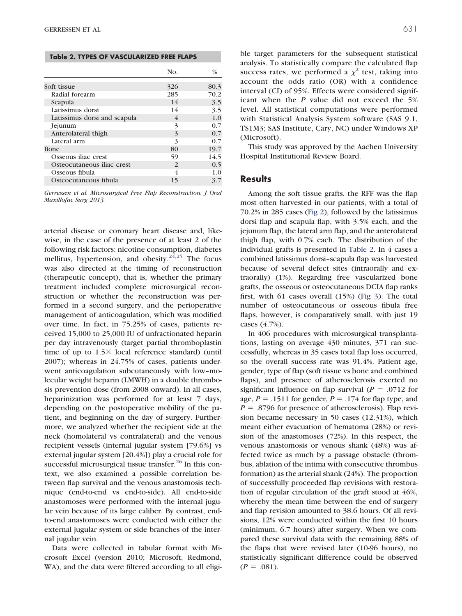<span id="page-3-0"></span>**Table 2. TYPES OF VASCULARIZED FREE FLAPS**

|                              | No.           | $\%$ |
|------------------------------|---------------|------|
| Soft tissue                  | 326           | 80.3 |
| Radial forearm               | 285           | 70.2 |
| Scapula                      | 14            | 3.5  |
| Latissimus dorsi             | 14            | 3.5  |
| Latissimus dorsi and scapula | 4             | 1.0  |
| Jejunum                      | 3             | 0.7  |
| Anterolateral thigh          | 3             | 0.7  |
| Lateral arm                  | 3             | 0.7  |
| Bone                         | 80            | 19.7 |
| Osseous iliac crest          | 59            | 14.5 |
| Osteocutaneous iliac crest   | $\mathcal{P}$ | 0.5  |
| Osseous fibula               |               | 1.0  |
| Osteocutaneous fibula        | 15            | 3.7  |

*Gerressen et al. Microsurgical Free Flap Reconstruction. J Oral Maxillofac Surg 2013.*

arterial disease or coronary heart disease and, likewise, in the case of the presence of at least 2 of the following risk factors: nicotine consumption, diabetes mellitus, hypertension, and obesity.<sup>[24,25](#page-7-8)</sup> The focus was also directed at the timing of reconstruction (therapeutic concept), that is, whether the primary treatment included complete microsurgical reconstruction or whether the reconstruction was performed in a second surgery, and the perioperative management of anticoagulation, which was modified over time. In fact, in 75.25% of cases, patients received 15,000 to 25,000 IU of unfractionated heparin per day intravenously (target partial thromboplastin time of up to  $1.5 \times$  local reference standard) (until 2007); whereas in 24.75% of cases, patients underwent anticoagulation subcutaneously with low–molecular weight heparin (LMWH) in a double thrombosis prevention dose (from 2008 onward). In all cases, heparinization was performed for at least 7 days, depending on the postoperative mobility of the patient, and beginning on the day of surgery. Furthermore, we analyzed whether the recipient side at the neck (homolateral vs contralateral) and the venous recipient vessels (internal jugular system [79.6%] vs external jugular system [20.4%]) play a crucial role for successful microsurgical tissue transfer.<sup>26</sup> In this context, we also examined a possible correlation between flap survival and the venous anastomosis technique (end-to-end vs end-to-side). All end-to-side anastomoses were performed with the internal jugular vein because of its large caliber. By contrast, endto-end anastomoses were conducted with either the external jugular system or side branches of the internal jugular vein.

Data were collected in tabular format with Microsoft Excel (version 2010; Microsoft, Redmond, WA), and the data were filtered according to all eligible target parameters for the subsequent statistical analysis. To statistically compare the calculated flap success rates, we performed a  $\chi^2$  test, taking into account the odds ratio (OR) with a confidence interval (CI) of 95%. Effects were considered significant when the *P* value did not exceed the 5% level. All statistical computations were performed with Statistical Analysis System software (SAS 9.1, TS1M3; SAS Institute, Cary, NC) under Windows XP (Microsoft).

This study was approved by the Aachen University Hospital Institutional Review Board.

#### **Results**

Among the soft tissue grafts, the RFF was the flap most often harvested in our patients, with a total of 70.2% in 285 cases [\(Fig 2\)](#page-2-1), followed by the latissimus dorsi flap and scapula flap, with 3.5% each, and the jejunum flap, the lateral arm flap, and the anterolateral thigh flap, with 0.7% each. The distribution of the individual grafts is presented in [Table 2.](#page-3-0) In 4 cases a combined latissimus dorsi–scapula flap was harvested because of several defect sites (intraorally and extraorally) (1%). Regarding free vascularized bone grafts, the osseous or osteocutaneous DCIA flap ranks first, with 61 cases overall (15%) [\(Fig 3\)](#page-4-0). The total number of osteocutaneous or osseous fibula free flaps, however, is comparatively small, with just 19 cases (4.7%).

In 406 procedures with microsurgical transplantations, lasting on average 430 minutes, 371 ran successfully, whereas in 35 cases total flap loss occurred, so the overall success rate was 91.4%. Patient age, gender, type of flap (soft tissue vs bone and combined flaps), and presence of atherosclerosis exerted no significant influence on flap survival  $(P = .0712$  for age,  $P = .1511$  for gender,  $P = .174$  for flap type, and  $P = 0.8796$  for presence of atherosclerosis). Flap revision became necessary in 50 cases (12.31%), which meant either evacuation of hematoma (28%) or revision of the anastomoses (72%). In this respect, the venous anastomosis or venous shank (48%) was affected twice as much by a passage obstacle (thrombus, ablation of the intima with consecutive thrombus formation) as the arterial shank (24%). The proportion of successfully proceeded flap revisions with restoration of regular circulation of the graft stood at 46%, whereby the mean time between the end of surgery and flap revision amounted to 38.6 hours. Of all revisions, 12% were conducted within the first 10 hours (minimum, 6.7 hours) after surgery. When we compared these survival data with the remaining 88% of the flaps that were revised later (10-96 hours), no statistically significant difference could be observed  $(P = .081)$ .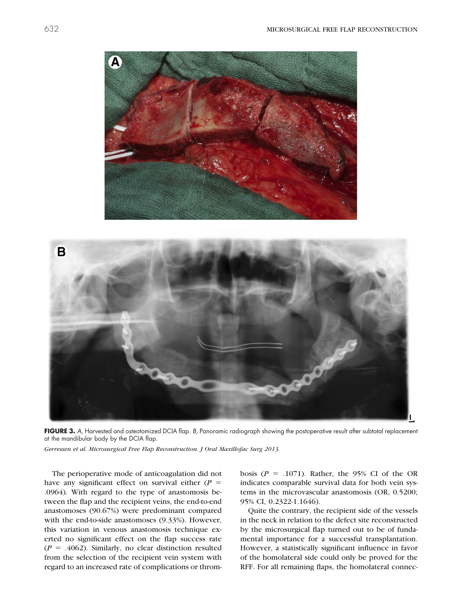

**FIGURE 3.** *A*, Harvested and osteotomized DCIA flap. *B*, Panoramic radiograph showing the postoperative result after subtotal replacement at the mandibular body by the DCIA flap.

<span id="page-4-0"></span>*Gerressen et al. Microsurgical Free Flap Reconstruction. J Oral Maxillofac Surg 2013.*

The perioperative mode of anticoagulation did not have any significant effect on survival either  $(P =$ .0964). With regard to the type of anastomosis between the flap and the recipient veins, the end-to-end anastomoses (90.67%) were predominant compared with the end-to-side anastomoses (9.33%). However, this variation in venous anastomosis technique exerted no significant effect on the flap success rate  $(P = .4062)$ . Similarly, no clear distinction resulted from the selection of the recipient vein system with regard to an increased rate of complications or throm-

bosis  $(P = .1071)$ . Rather, the 95% CI of the OR indicates comparable survival data for both vein systems in the microvascular anastomosis (OR, 0.5200; 95% CI, 0.2322-1.1646).

Quite the contrary, the recipient side of the vessels in the neck in relation to the defect site reconstructed by the microsurgical flap turned out to be of fundamental importance for a successful transplantation. However, a statistically significant influence in favor of the homolateral side could only be proved for the RFF. For all remaining flaps, the homolateral connec-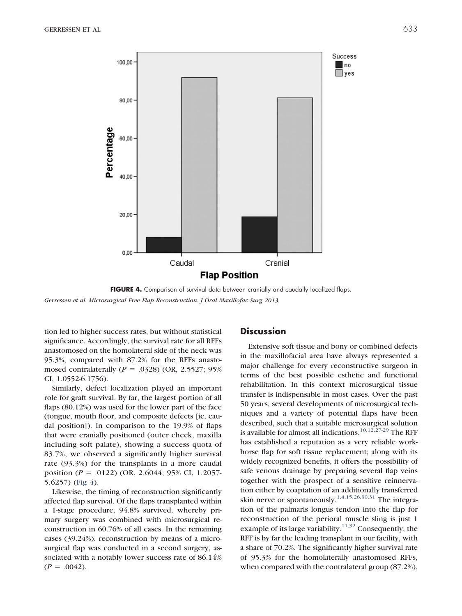

<span id="page-5-0"></span>**FIGURE 4.** Comparison of survival data between cranially and caudally localized flaps. *Gerressen et al. Microsurgical Free Flap Reconstruction. J Oral Maxillofac Surg 2013.*

tion led to higher success rates, but without statistical significance. Accordingly, the survival rate for all RFFs anastomosed on the homolateral side of the neck was 95.3%, compared with 87.2% for the RFFs anastomosed contralaterally  $(P = .0328)$  (OR, 2.5527; 95%) CI, 1.0552-6.1756).

Similarly, defect localization played an important role for graft survival. By far, the largest portion of all flaps (80.12%) was used for the lower part of the face (tongue, mouth floor, and composite defects [ie, caudal position]). In comparison to the 19.9% of flaps that were cranially positioned (outer cheek, maxilla including soft palate), showing a success quota of 83.7%, we observed a significantly higher survival rate (93.3%) for the transplants in a more caudal position (*P* - .0122) (OR, 2.6044; 95% CI, 1.2057- 5.6257) [\(Fig 4\)](#page-5-0).

Likewise, the timing of reconstruction significantly affected flap survival. Of the flaps transplanted within a 1-stage procedure, 94.8% survived, whereby primary surgery was combined with microsurgical reconstruction in 60.76% of all cases. In the remaining cases (39.24%), reconstruction by means of a microsurgical flap was conducted in a second surgery, associated with a notably lower success rate of 86.14%  $(P = .0042)$ .

#### **Discussion**

Extensive soft tissue and bony or combined defects in the maxillofacial area have always represented a major challenge for every reconstructive surgeon in terms of the best possible esthetic and functional rehabilitation. In this context microsurgical tissue transfer is indispensable in most cases. Over the past 50 years, several developments of microsurgical techniques and a variety of potential flaps have been described, such that a suitable microsurgical solution is available for almost all indications.<sup>10,12,27-29</sup> The RFF has established a reputation as a very reliable workhorse flap for soft tissue replacement; along with its widely recognized benefits, it offers the possibility of safe venous drainage by preparing several flap veins together with the prospect of a sensitive reinnervation either by coaptation of an additionally transferred skin nerve or spontaneously.<sup>[1,4,15,26,30,31](#page-7-0)</sup> The integration of the palmaris longus tendon into the flap for reconstruction of the perioral muscle sling is just 1 example of its large variability.<sup>[11,32](#page-7-7)</sup> Consequently, the RFF is by far the leading transplant in our facility, with a share of 70.2%. The significantly higher survival rate of 95.3% for the homolaterally anastomosed RFFs, when compared with the contralateral group (87.2%),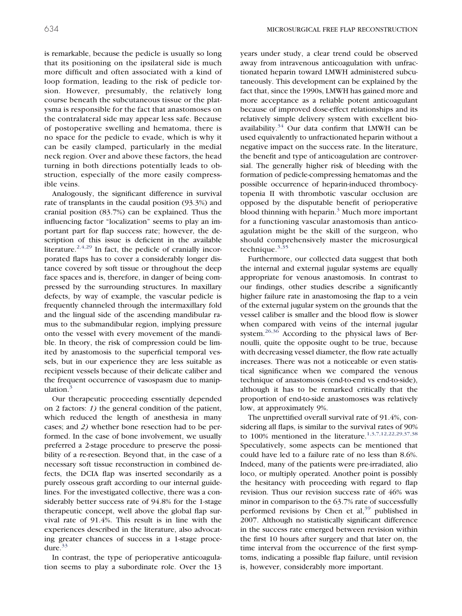is remarkable, because the pedicle is usually so long that its positioning on the ipsilateral side is much more difficult and often associated with a kind of loop formation, leading to the risk of pedicle torsion. However, presumably, the relatively long course beneath the subcutaneous tissue or the platysma is responsible for the fact that anastomoses on the contralateral side may appear less safe. Because of postoperative swelling and hematoma, there is no space for the pedicle to evade, which is why it can be easily clamped, particularly in the medial neck region. Over and above these factors, the head turning in both directions potentially leads to obstruction, especially of the more easily compressible veins.

Analogously, the significant difference in survival rate of transplants in the caudal position (93.3%) and cranial position (83.7%) can be explained. Thus the influencing factor "localization" seems to play an important part for flap success rate; however, the description of this issue is deficient in the available literature. $2,4,29$  In fact, the pedicle of cranially incorporated flaps has to cover a considerably longer distance covered by soft tissue or throughout the deep face spaces and is, therefore, in danger of being compressed by the surrounding structures. In maxillary defects, by way of example, the vascular pedicle is frequently channeled through the intermaxillary fold and the lingual side of the ascending mandibular ramus to the submandibular region, implying pressure onto the vessel with every movement of the mandible. In theory, the risk of compression could be limited by anastomosis to the superficial temporal vessels, but in our experience they are less suitable as recipient vessels because of their delicate caliber and the frequent occurrence of vasospasm due to manipulation. $3$ 

Our therapeutic proceeding essentially depended on 2 factors: *1)* the general condition of the patient, which reduced the length of anesthesia in many cases; and *2)* whether bone resection had to be performed. In the case of bone involvement, we usually preferred a 2-stage procedure to preserve the possibility of a re-resection. Beyond that, in the case of a necessary soft tissue reconstruction in combined defects, the DCIA flap was inserted secondarily as a purely osseous graft according to our internal guidelines. For the investigated collective, there was a considerably better success rate of 94.8% for the 1-stage therapeutic concept, well above the global flap survival rate of 91.4%. This result is in line with the experiences described in the literature, also advocating greater chances of success in a 1-stage procedure. $33$ 

In contrast, the type of perioperative anticoagulation seems to play a subordinate role. Over the 13 years under study, a clear trend could be observed away from intravenous anticoagulation with unfractionated heparin toward LMWH administered subcutaneously. This development can be explained by the fact that, since the 1990s, LMWH has gained more and more acceptance as a reliable potent anticoagulant because of improved dose-effect relationships and its relatively simple delivery system with excellent bioavailability. $34$  Our data confirm that LMWH can be used equivalently to unfractionated heparin without a negative impact on the success rate. In the literature, the benefit and type of anticoagulation are controversial. The generally higher risk of bleeding with the formation of pedicle-compressing hematomas and the possible occurrence of heparin-induced thrombocytopenia II with thrombotic vascular occlusion are opposed by the disputable benefit of perioperative blood thinning with heparin.<sup>3</sup> Much more important for a functioning vascular anastomosis than anticoagulation might be the skill of the surgeon, who should comprehensively master the microsurgical technique. $3,35$ 

Furthermore, our collected data suggest that both the internal and external jugular systems are equally appropriate for venous anastomosis. In contrast to our findings, other studies describe a significantly higher failure rate in anastomosing the flap to a vein of the external jugular system on the grounds that the vessel caliber is smaller and the blood flow is slower when compared with veins of the internal jugular system.<sup>[26,36](#page-7-9)</sup> According to the physical laws of Bernoulli, quite the opposite ought to be true, because with decreasing vessel diameter, the flow rate actually increases. There was not a noticeable or even statistical significance when we compared the venous technique of anastomosis (end-to-end vs end-to-side), although it has to be remarked critically that the proportion of end-to-side anastomoses was relatively low, at approximately 9%.

The unprettified overall survival rate of 91.4%, considering all flaps, is similar to the survival rates of 90% to 100% mentioned in the literature.<sup>[1,3,7,12,22,29,37,38](#page-7-0)</sup> Speculatively, some aspects can be mentioned that could have led to a failure rate of no less than 8.6%. Indeed, many of the patients were pre-irradiated, alio loco, or multiply operated. Another point is possibly the hesitancy with proceeding with regard to flap revision. Thus our revision success rate of 46% was minor in comparison to the 63.7% rate of successfully performed revisions by Chen et al,  $39$  published in 2007. Although no statistically significant difference in the success rate emerged between revision within the first 10 hours after surgery and that later on, the time interval from the occurrence of the first symptoms, indicating a possible flap failure, until revision is, however, considerably more important.